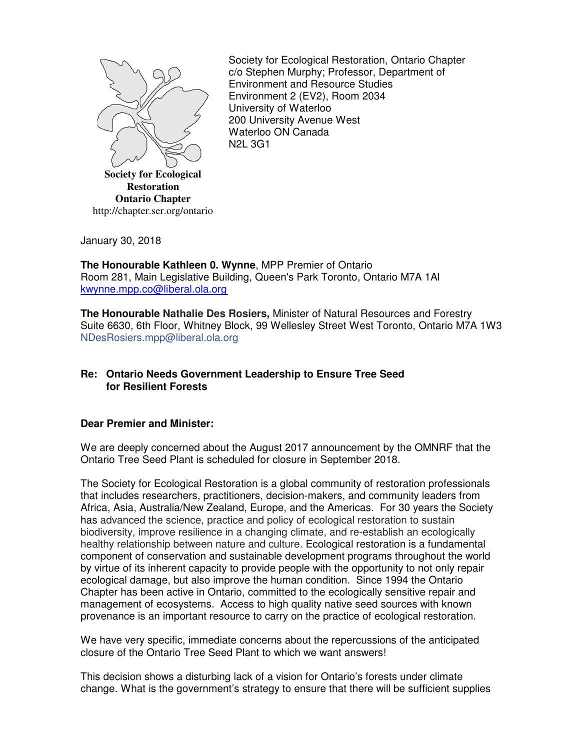

Society for Ecological Restoration, Ontario Chapter c/o Stephen Murphy; Professor, Department of Environment and Resource Studies Environment 2 (EV2), Room 2034 University of Waterloo 200 University Avenue West Waterloo ON Canada N2L 3G1

January 30, 2018

**The Honourable Kathleen 0. Wynne**, MPP Premier of Ontario Room 281, Main Legislative Building, Queen's Park Toronto, Ontario M7A 1Al kwynne.mpp.co@liberal.ola.org

**The Honourable Nathalie Des Rosiers,** Minister of Natural Resources and Forestry Suite 6630, 6th Floor, Whitney Block, 99 Wellesley Street West Toronto, Ontario M7A 1W3 NDesRosiers.mpp@liberal.ola.org

## **Re: Ontario Needs Government Leadership to Ensure Tree Seed for Resilient Forests**

## **Dear Premier and Minister:**

We are deeply concerned about the August 2017 announcement by the OMNRF that the Ontario Tree Seed Plant is scheduled for closure in September 2018.

The Society for Ecological Restoration is a global community of restoration professionals that includes researchers, practitioners, decision-makers, and community leaders from Africa, Asia, Australia/New Zealand, Europe, and the Americas. For 30 years the Society has advanced the science, practice and policy of ecological restoration to sustain biodiversity, improve resilience in a changing climate, and re-establish an ecologically healthy relationship between nature and culture. Ecological restoration is a fundamental component of conservation and sustainable development programs throughout the world by virtue of its inherent capacity to provide people with the opportunity to not only repair ecological damage, but also improve the human condition. Since 1994 the Ontario Chapter has been active in Ontario, committed to the ecologically sensitive repair and management of ecosystems. Access to high quality native seed sources with known provenance is an important resource to carry on the practice of ecological restoration.

We have very specific, immediate concerns about the repercussions of the anticipated closure of the Ontario Tree Seed Plant to which we want answers!

This decision shows a disturbing lack of a vision for Ontario's forests under climate change. What is the government's strategy to ensure that there will be sufficient supplies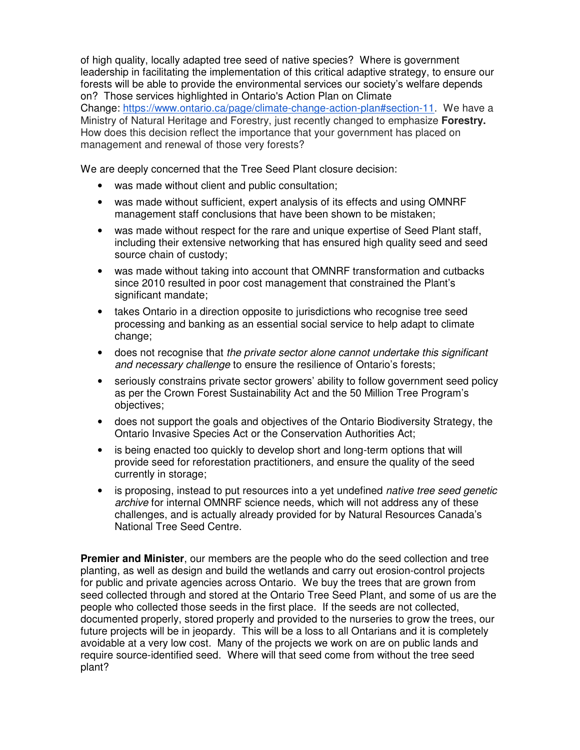of high quality, locally adapted tree seed of native species? Where is government leadership in facilitating the implementation of this critical adaptive strategy, to ensure our forests will be able to provide the environmental services our society's welfare depends on? Those services highlighted in Ontario's Action Plan on Climate Change: https://www.ontario.ca/page/climate-change-action-plan#section-11. We have a Ministry of Natural Heritage and Forestry, just recently changed to emphasize **Forestry.**  How does this decision reflect the importance that your government has placed on management and renewal of those very forests?

We are deeply concerned that the Tree Seed Plant closure decision:

- was made without client and public consultation;
- was made without sufficient, expert analysis of its effects and using OMNRF management staff conclusions that have been shown to be mistaken;
- was made without respect for the rare and unique expertise of Seed Plant staff, including their extensive networking that has ensured high quality seed and seed source chain of custody;
- was made without taking into account that OMNRF transformation and cutbacks since 2010 resulted in poor cost management that constrained the Plant's significant mandate;
- takes Ontario in a direction opposite to jurisdictions who recognise tree seed processing and banking as an essential social service to help adapt to climate change;
- does not recognise that the private sector alone cannot undertake this significant and necessary challenge to ensure the resilience of Ontario's forests;
- seriously constrains private sector growers' ability to follow government seed policy as per the Crown Forest Sustainability Act and the 50 Million Tree Program's objectives;
- does not support the goals and objectives of the Ontario Biodiversity Strategy, the Ontario Invasive Species Act or the Conservation Authorities Act;
- is being enacted too quickly to develop short and long-term options that will provide seed for reforestation practitioners, and ensure the quality of the seed currently in storage;
- is proposing, instead to put resources into a yet undefined *native tree seed genetic* archive for internal OMNRF science needs, which will not address any of these challenges, and is actually already provided for by Natural Resources Canada's National Tree Seed Centre.

**Premier and Minister**, our members are the people who do the seed collection and tree planting, as well as design and build the wetlands and carry out erosion-control projects for public and private agencies across Ontario. We buy the trees that are grown from seed collected through and stored at the Ontario Tree Seed Plant, and some of us are the people who collected those seeds in the first place. If the seeds are not collected, documented properly, stored properly and provided to the nurseries to grow the trees, our future projects will be in jeopardy. This will be a loss to all Ontarians and it is completely avoidable at a very low cost. Many of the projects we work on are on public lands and require source-identified seed. Where will that seed come from without the tree seed plant?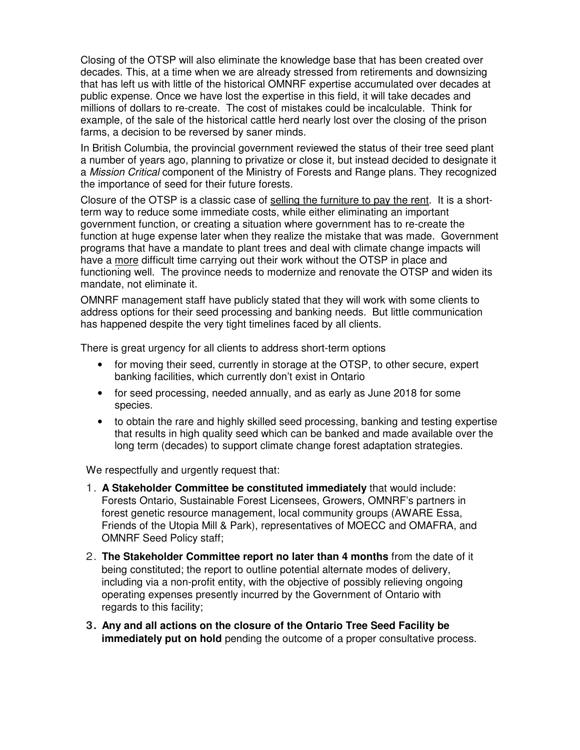Closing of the OTSP will also eliminate the knowledge base that has been created over decades. This, at a time when we are already stressed from retirements and downsizing that has left us with little of the historical OMNRF expertise accumulated over decades at public expense. Once we have lost the expertise in this field, it will take decades and millions of dollars to re-create. The cost of mistakes could be incalculable. Think for example, of the sale of the historical cattle herd nearly lost over the closing of the prison farms, a decision to be reversed by saner minds.

In British Columbia, the provincial government reviewed the status of their tree seed plant a number of years ago, planning to privatize or close it, but instead decided to designate it a Mission Critical component of the Ministry of Forests and Range plans. They recognized the importance of seed for their future forests.

Closure of the OTSP is a classic case of selling the furniture to pay the rent. It is a shortterm way to reduce some immediate costs, while either eliminating an important government function, or creating a situation where government has to re-create the function at huge expense later when they realize the mistake that was made. Government programs that have a mandate to plant trees and deal with climate change impacts will have a more difficult time carrying out their work without the OTSP in place and functioning well. The province needs to modernize and renovate the OTSP and widen its mandate, not eliminate it.

OMNRF management staff have publicly stated that they will work with some clients to address options for their seed processing and banking needs. But little communication has happened despite the very tight timelines faced by all clients.

There is great urgency for all clients to address short-term options

- for moving their seed, currently in storage at the OTSP, to other secure, expert banking facilities, which currently don't exist in Ontario
- for seed processing, needed annually, and as early as June 2018 for some species.
- to obtain the rare and highly skilled seed processing, banking and testing expertise that results in high quality seed which can be banked and made available over the long term (decades) to support climate change forest adaptation strategies.

We respectfully and urgently request that:

- 1. **A Stakeholder Committee be constituted immediately** that would include: Forests Ontario, Sustainable Forest Licensees, Growers, OMNRF's partners in forest genetic resource management, local community groups (AWARE Essa, Friends of the Utopia Mill & Park), representatives of MOECC and OMAFRA, and OMNRF Seed Policy staff;
- 2. **The Stakeholder Committee report no later than 4 months** from the date of it being constituted; the report to outline potential alternate modes of delivery, including via a non-profit entity, with the objective of possibly relieving ongoing operating expenses presently incurred by the Government of Ontario with regards to this facility;
- **3. Any and all actions on the closure of the Ontario Tree Seed Facility be immediately put on hold** pending the outcome of a proper consultative process.